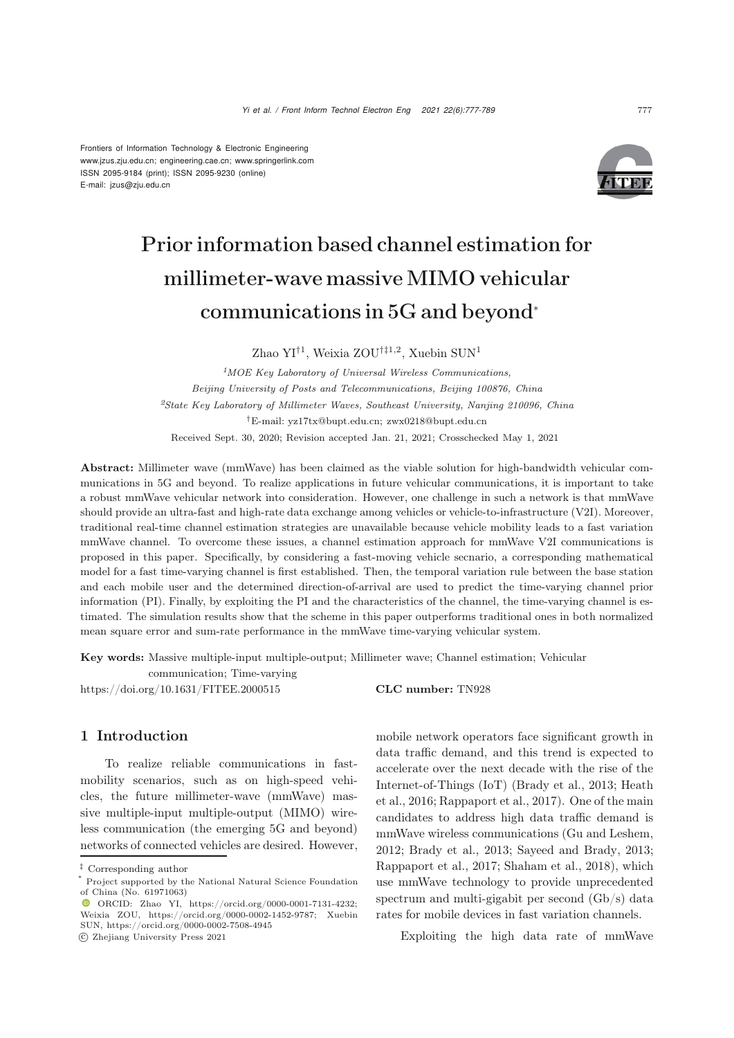Frontiers of Information Technology & Electronic Engineering [www.jzus.zju.edu.cn;](www.jzus.zju.edu.cn) [engineering.cae.cn;](engineering.cae.cn)<www.springerlink.com> ISSN 2095-9184 (print); ISSN 2095-9230 (online) E-mail: jzus@zju.edu.cn



# Prior information based channel estimation for millimeter-wave massive MIMO vehicular communications in 5G and beyond<sup>∗</sup>

Zhao YI<sup>†1</sup>, Weixia ZOU<sup>†‡1,2</sup>, Xuebin SUN<sup>1</sup>

*<sup>1</sup>MOE Key Laboratory of Universal Wireless Communications, Beijing University of Posts and Telecommunications, Beijing 100876, China <sup>2</sup>State Key Laboratory of Millimeter Waves, Southeast University, Nanjing 210096, China* †E-mail: yz17tx@bupt.edu.cn; zwx0218@bupt.edu.cn Received Sept. 30, 2020; Revision accepted Jan. 21, 2021; Crosschecked May 1, 2021

Abstract: Millimeter wave (mmWave) has been claimed as the viable solution for high-bandwidth vehicular communications in 5G and beyond. To realize applications in future vehicular communications, it is important to take a robust mmWave vehicular network into consideration. However, one challenge in such a network is that mmWave should provide an ultra-fast and high-rate data exchange among vehicles or vehicle-to-infrastructure (V2I). Moreover, traditional real-time channel estimation strategies are unavailable because vehicle mobility leads to a fast variation mmWave channel. To overcome these issues, a channel estimation approach for mmWave V2I communications is proposed in this paper. Specifically, by considering a fast-moving vehicle secnario, a corresponding mathematical model for a fast time-varying channel is first established. Then, the temporal variation rule between the base station and each mobile user and the determined direction-of-arrival are used to predict the time-varying channel prior information (PI). Finally, by exploiting the PI and the characteristics of the channel, the time-varying channel is estimated. The simulation results show that the scheme in this paper outperforms traditional ones in both normalized mean square error and sum-rate performance in the mmWave time-varying vehicular system.

Key words: Massive multiple-input multiple-output; Millimeter wave; Channel estimation; Vehicular

communication; Time-varying https://doi.org/10.1631/FITEE.2000515 **CLC number:** TN928

# 1 Introduction

To realize reliable communications in fastmobility scenarios, such as on high-speed vehicles, the future millimeter-wave (mmWave) massive multiple-input multiple-output (MIMO) wireless communication (the emerging 5G and beyond) networks of connected vehicles are desired. However, mobile network operators face significant growth in data traffic demand, and this trend is expected to accelerate over the next decade with the rise of the Inte[rnet-of-Things](#page-11-1) [\(IoT\)](#page-11-1) [\(Brady et al.](#page-11-0)[,](#page-11-1) [2013](#page-11-0)[;](#page-11-1) Heath et al., [2016](#page-11-1); [Rappaport et al., 2017\)](#page-11-2). One of the main candidates to address high data traffic demand is mmWave wireless communications [\(Gu and Leshem](#page-11-3), [2012](#page-11-3); [Brady et al., 2013](#page-11-0); [Sayeed and Brady, 2013;](#page-11-4) [Rappaport et al.](#page-11-2), [2017](#page-11-2); [Shaham et al.](#page-12-0), [2018](#page-12-0)), which use mmWave technology to provide unprecedented spectrum and multi-gigabit per second (Gb/s) data rates for mobile devices in fast variation channels.

Exploiting the high data rate of mmWave

<sup>‡</sup> Corresponding author

Project supported by the National Natural Science Foundation of China (No. 61971063)

ORCID: Zhao YI, https://orcid.org/0000-0001-7131-4232; Weixia ZOU, https://orcid.org/0000-0002-1452-9787; Xuebin SUN, https://orcid.org/0000-0002-7508-4945

c Zhejiang University Press 2021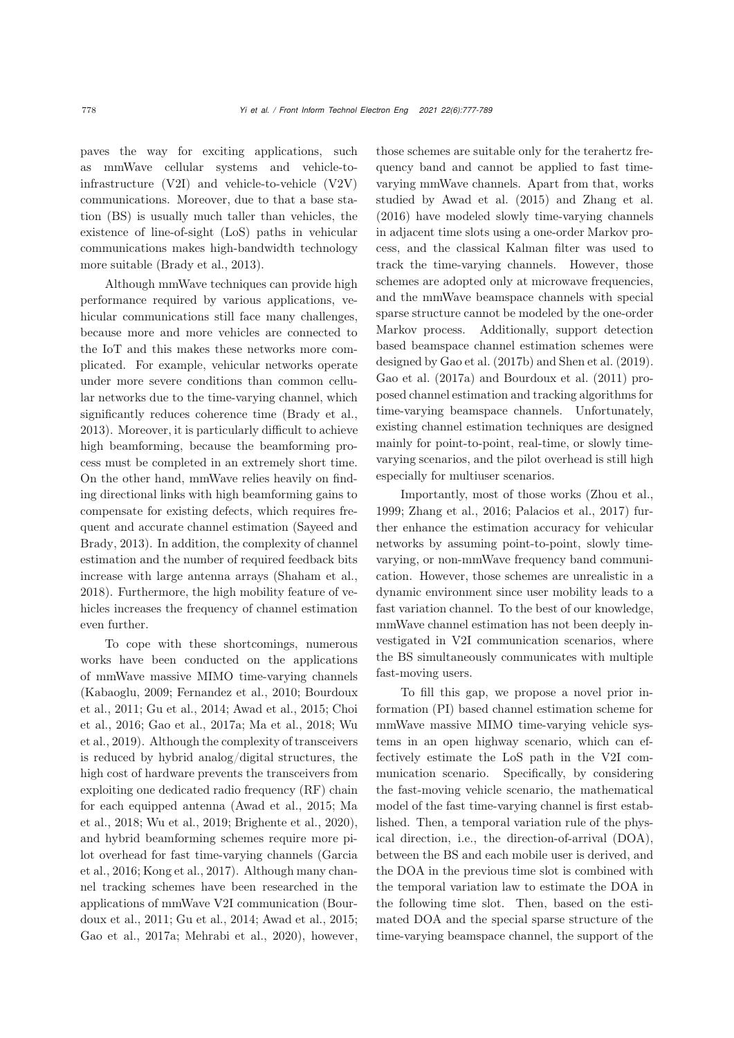paves the way for exciting applications, such as mmWave cellular systems and vehicle-toinfrastructure (V2I) and vehicle-to-vehicle (V2V) communications. Moreover, due to that a base station (BS) is usually much taller than vehicles, the existence of line-of-sight (LoS) paths in vehicular communications makes high-bandwidth technology more suitable [\(Brady et al.](#page-11-0), [2013\)](#page-11-0).

Although mmWave techniques can provide high performance required by various applications, vehicular communications still face many challenges, because more and more vehicles are connected to the IoT and this makes these networks more complicated. For example, vehicular networks operate under more severe conditions than common cellular networks due to the time-varying channel, which significantly reduces coherence time [\(Brady et al.](#page-11-0), [2013](#page-11-0)). Moreover, it is particularly difficult to achieve high beamforming, because the beamforming process must be completed in an extremely short time. On the other hand, mmWave relies heavily on finding directional links with high beamforming gains to compensate for existing defects, which requires frequent [and](#page-11-4) [accurate](#page-11-4) [channel](#page-11-4) [estimation](#page-11-4) [\(](#page-11-4)Sayeed and Brady, [2013](#page-11-4)). In addition, the complexity of channel estimation and the number of required feedback bits increase with large antenna arrays [\(Shaham et al.](#page-12-0), [2018](#page-12-0)). Furthermore, the high mobility feature of vehicles increases the frequency of channel estimation even further.

To cope with these shortcomings, numerous works have been conducted on the applications of mmWave massive MIMO time-varying channels [\(Kabaoglu](#page-11-5)[,](#page-11-7) [2009](#page-11-5)[;](#page-11-7) [Fernandez et al.](#page-11-6)[,](#page-11-7) [2010](#page-11-6)[;](#page-11-7) Bourdoux et al.[,](#page-11-10) [2011](#page-11-7)[;](#page-11-10) [Gu et al.](#page-11-8)[,](#page-11-10) [2014](#page-11-8)[;](#page-11-10) [Awad et al.](#page-11-9)[,](#page-11-10) [2015](#page-11-9)[;](#page-11-10) Choi et al[.,](#page-12-1) [2016](#page-11-10)[;](#page-12-1) [Gao et al.](#page-11-11)[,](#page-12-1) [2017a](#page-11-11)[;](#page-12-1) [Ma et al.](#page-11-12)[,](#page-12-1) [2018](#page-11-12)[;](#page-12-1) Wu et al., [2019\)](#page-12-1). Although the complexity of transceivers is reduced by hybrid analog/digital structures, the high cost of hardware prevents the transceivers from exploiting one dedicated radio frequency (RF) chain for e[ach](#page-11-12) [equipped](#page-11-12) [antenna](#page-11-12) [\(Awad et al.](#page-11-9)[,](#page-11-12) [2015](#page-11-9)[;](#page-11-12) Ma et al., [2018](#page-11-12); [Wu et al., 2019;](#page-12-1) [Brighente et al., 2020\)](#page-11-13), and hybrid beamforming schemes require more pilot o[verhead](#page-11-14) [for](#page-11-14) [fast](#page-11-14) [time-varying](#page-11-14) [channels](#page-11-14) [\(](#page-11-14)Garcia et al., [2016](#page-11-14); [Kong et al.](#page-11-15), [2017](#page-11-15)). Although many channel tracking schemes have been researched in the applicatio[ns](#page-11-7) [of](#page-11-7) [mmWave](#page-11-7) [V2I](#page-11-7) [communication](#page-11-7) [\(](#page-11-7)Bourdoux et al., [2011](#page-11-7); [Gu et al.](#page-11-8), [2014](#page-11-8); [Awad et al., 2015;](#page-11-9) [Gao et al., 2017a](#page-11-11); [Mehrabi et al., 2020](#page-11-16)), however,

those schemes are suitable only for the terahertz frequency band and cannot be applied to fast timevarying mmWave channels. Apart from that, works studied by [Awad et al.](#page-11-9) [\(2015](#page-11-9)) and [Zhang et al.](#page-12-2) [\(2016](#page-12-2)) have modeled slowly time-varying channels in adjacent time slots using a one-order Markov process, and the classical Kalman filter was used to track the time-varying channels. However, those schemes are adopted only at microwave frequencies, and the mmWave beamspace channels with special sparse structure cannot be modeled by the one-order Markov process. Additionally, support detection based beamspace channel estimation schemes were designed by [Gao et al.](#page-11-17) [\(2017b](#page-11-17)) and [Shen et al.](#page-12-3) [\(2019\)](#page-12-3). [Gao et al.](#page-11-11) [\(2017a\)](#page-11-11) and [Bourdoux et al.](#page-11-7) [\(2011](#page-11-7)) proposed channel estimation and tracking algorithms for time-varying beamspace channels. Unfortunately, existing channel estimation techniques are designed mainly for point-to-point, real-time, or slowly timevarying scenarios, and the pilot overhead is still high especially for multiuser scenarios.

Importantly, most of those works [\(Zhou et al.](#page-12-4), [1999](#page-12-4); [Zhang et al.](#page-12-2), [2016;](#page-12-2) [Palacios et al.](#page-11-18), [2017\)](#page-11-18) further enhance the estimation accuracy for vehicular networks by assuming point-to-point, slowly timevarying, or non-mmWave frequency band communication. However, those schemes are unrealistic in a dynamic environment since user mobility leads to a fast variation channel. To the best of our knowledge, mmWave channel estimation has not been deeply investigated in V2I communication scenarios, where the BS simultaneously communicates with multiple fast-moving users.

To fill this gap, we propose a novel prior information (PI) based channel estimation scheme for mmWave massive MIMO time-varying vehicle systems in an open highway scenario, which can effectively estimate the LoS path in the V2I communication scenario. Specifically, by considering the fast-moving vehicle scenario, the mathematical model of the fast time-varying channel is first established. Then, a temporal variation rule of the physical direction, i.e., the direction-of-arrival (DOA), between the BS and each mobile user is derived, and the DOA in the previous time slot is combined with the temporal variation law to estimate the DOA in the following time slot. Then, based on the estimated DOA and the special sparse structure of the time-varying beamspace channel, the support of the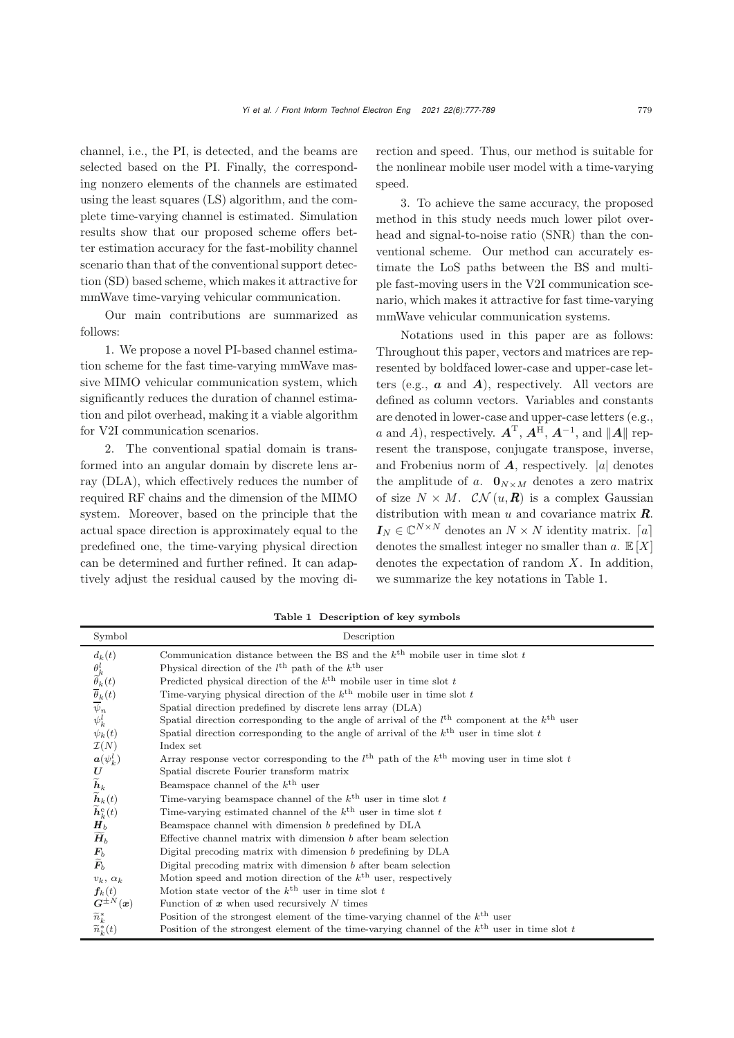channel, i.e., the PI, is detected, and the beams are selected based on the PI. Finally, the corresponding nonzero elements of the channels are estimated using the least squares (LS) algorithm, and the complete time-varying channel is estimated. Simulation results show that our proposed scheme offers better estimation accuracy for the fast-mobility channel scenario than that of the conventional support detection (SD) based scheme, which makes it attractive for mmWave time-varying vehicular communication.

Our main contributions are summarized as follows:

1. We propose a novel PI-based channel estimation scheme for the fast time-varying mmWave massive MIMO vehicular communication system, which significantly reduces the duration of channel estimation and pilot overhead, making it a viable algorithm for V2I communication scenarios.

2. The conventional spatial domain is transformed into an angular domain by discrete lens array (DLA), which effectively reduces the number of required RF chains and the dimension of the MIMO system. Moreover, based on the principle that the actual space direction is approximately equal to the predefined one, the time-varying physical direction can be determined and further refined. It can adaptively adjust the residual caused by the moving direction and speed. Thus, our method is suitable for the nonlinear mobile user model with a time-varying speed.

3. To achieve the same accuracy, the proposed method in this study needs much lower pilot overhead and signal-to-noise ratio (SNR) than the conventional scheme. Our method can accurately estimate the LoS paths between the BS and multiple fast-moving users in the V2I communication scenario, which makes it attractive for fast time-varying mmWave vehicular communication systems.

Notations used in this paper are as follows: Throughout this paper, vectors and matrices are represented by boldfaced lower-case and upper-case letters (e.g.,  $\boldsymbol{a}$  and  $\boldsymbol{A}$ ), respectively. All vectors are defined as column vectors. Variables and constants are denoted in lower-case and upper-case letters (e.g., a and A), respectively.  $\mathbf{A}^{\mathrm{T}}$ ,  $\mathbf{A}^{\mathrm{H}}$ ,  $\mathbf{A}^{-1}$ , and  $\|\mathbf{A}\|$  represent the transpose, conjugate transpose, inverse, and Frobenius norm of  $\boldsymbol{A}$ , respectively. |a| denotes the amplitude of a.  $\mathbf{0}_{N\times M}$  denotes a zero matrix of size  $N \times M$ .  $\mathcal{CN}(u,\mathbf{R})$  is a complex Gaussian distribution with mean  $u$  and covariance matrix  $\mathbf{R}$ .  $I_N \in \mathbb{C}^{N \times N}$  denotes an  $N \times N$  identity matrix. [a] denotes the smallest integer no smaller than  $a. \mathbb{E}[X]$ denotes the expectation of random  $X$ . In addition, we summarize the key notations in Table 1.

Table 1 Description of key symbols

| Symbol                                                                                                                                                                          | Description                                                                                                       |
|---------------------------------------------------------------------------------------------------------------------------------------------------------------------------------|-------------------------------------------------------------------------------------------------------------------|
| $d_k(t)$                                                                                                                                                                        | Communication distance between the BS and the $k^{\text{th}}$ mobile user in time slot t                          |
|                                                                                                                                                                                 | Physical direction of the $l^{\text{th}}$ path of the $k^{\text{th}}$ user                                        |
|                                                                                                                                                                                 | Predicted physical direction of the $k^{\text{th}}$ mobile user in time slot t                                    |
| $\frac{\theta_k^l}{\widetilde{\theta}_k(t)}$<br>$\frac{\widetilde{\theta}_k(t)}{\psi_n}$                                                                                        | Time-varying physical direction of the $k^{\text{th}}$ mobile user in time slot t                                 |
|                                                                                                                                                                                 | Spatial direction predefined by discrete lens array (DLA)                                                         |
|                                                                                                                                                                                 | Spatial direction corresponding to the angle of arrival of the $lth$ component at the $kth$ user                  |
| $\psi_k(t)$                                                                                                                                                                     | Spatial direction corresponding to the angle of arrival of the $k^{\text{th}}$ user in time slot t                |
| $\mathcal{I}(N)$                                                                                                                                                                | Index set                                                                                                         |
|                                                                                                                                                                                 | Array response vector corresponding to the $l^{\text{th}}$ path of the $k^{\text{th}}$ moving user in time slot t |
|                                                                                                                                                                                 | Spatial discrete Fourier transform matrix                                                                         |
|                                                                                                                                                                                 | Beamspace channel of the $k^{\text{th}}$ user                                                                     |
| $\begin{align} \bm{a}(\psi_k^l) \ \bm{U} \ \bm{\widetilde{h}}_k \ \bm{\widetilde{h}}_k(t) \ \bm{\widetilde{h}}_k^{\mathrm{e}}(t) \ \bm{H}_b \ \bm{\widetilde{H}}_b \end{align}$ | Time-varying beamspace channel of the $k^{\text{th}}$ user in time slot t                                         |
|                                                                                                                                                                                 | Time-varying estimated channel of the $k^{\text{th}}$ user in time slot t                                         |
|                                                                                                                                                                                 | Beamspace channel with dimension b predefined by DLA                                                              |
|                                                                                                                                                                                 | Effective channel matrix with dimension $b$ after beam selection                                                  |
| $\frac{\boldsymbol{F_b}}{\boldsymbol{\widetilde{F}_b}}$                                                                                                                         | Digital precoding matrix with dimension b predefining by DLA                                                      |
|                                                                                                                                                                                 | Digital precoding matrix with dimension $b$ after beam selection                                                  |
| $v_k, \alpha_k$                                                                                                                                                                 | Motion speed and motion direction of the $k^{\text{th}}$ user, respectively                                       |
| $\boldsymbol{f}_k(t)$                                                                                                                                                           | Motion state vector of the $k^{\text{th}}$ user in time slot t                                                    |
| $\bm{G}^{\pm N}(\bm{x})$                                                                                                                                                        | Function of $x$ when used recursively $N$ times                                                                   |
| $\widetilde{n}_k^*$                                                                                                                                                             | Position of the strongest element of the time-varying channel of the $k^{\text{th}}$ user                         |
| $\widetilde{n}_{k}^{*}(t)$                                                                                                                                                      | Position of the strongest element of the time-varying channel of the $k^{\text{th}}$ user in time slot t          |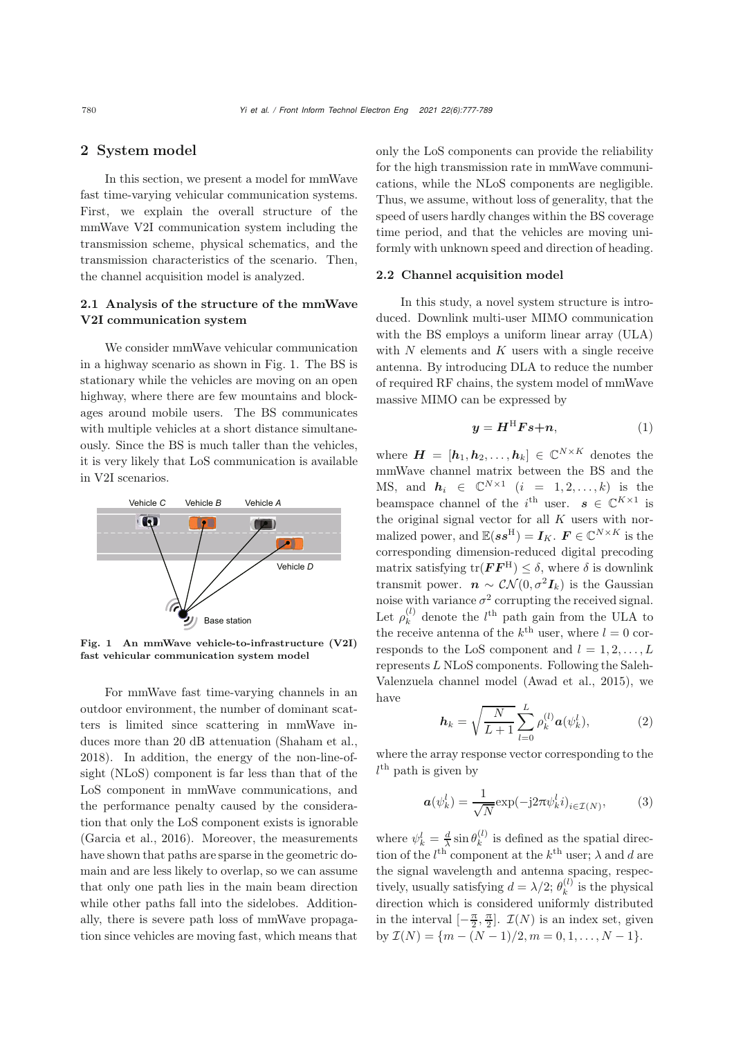## 2 System model

In this section, we present a model for mmWave fast time-varying vehicular communication systems. First, we explain the overall structure of the mmWave V2I communication system including the transmission scheme, physical schematics, and the transmission characteristics of the scenario. Then, the channel acquisition model is analyzed.

## 2.1 Analysis of the structure of the mmWave V2I communication system

We consider mmWave vehicular communication in a highway scenario as shown in Fig. [1.](#page-3-0) The BS is stationary while the vehicles are moving on an open highway, where there are few mountains and blockages around mobile users. The BS communicates with multiple vehicles at a short distance simultaneously. Since the BS is much taller than the vehicles, it is very likely that LoS communication is available in V2I scenarios.



<span id="page-3-0"></span>Fig. 1 An mmWave vehicle-to-infrastructure (V2I) fast vehicular communication system model

For mmWave fast time-varying channels in an outdoor environment, the number of dominant scatters is limited since scattering in mmWave induces more than 20 dB attenuation [\(Shaham et al.](#page-12-0), [2018](#page-12-0)). In addition, the energy of the non-line-ofsight (NLoS) component is far less than that of the LoS component in mmWave communications, and the performance penalty caused by the consideration that only the LoS component exists is ignorable [\(Garcia et al.](#page-11-14), [2016](#page-11-14)). Moreover, the measurements have shown that paths are sparse in the geometric domain and are less likely to overlap, so we can assume that only one path lies in the main beam direction while other paths fall into the sidelobes. Additionally, there is severe path loss of mmWave propagation since vehicles are moving fast, which means that

only the LoS components can provide the reliability for the high transmission rate in mmWave communications, while the NLoS components are negligible. Thus, we assume, without loss of generality, that the speed of users hardly changes within the BS coverage time period, and that the vehicles are moving uniformly with unknown speed and direction of heading.

#### 2.2 Channel acquisition model

In this study, a novel system structure is introduced. Downlink multi-user MIMO communication with the BS employs a uniform linear array (ULA) with  $N$  elements and  $K$  users with a single receive antenna. By introducing DLA to reduce the number of required RF chains, the system model of mmWave massive MIMO can be expressed by

<span id="page-3-2"></span>
$$
y = H^{\mathrm{H}} F s + n,\tag{1}
$$

where  $\mathbf{H} = [\mathbf{h}_1, \mathbf{h}_2, \dots, \mathbf{h}_k] \in \mathbb{C}^{N \times K}$  denotes the mmWave channel matrix between the BS and the MS, and  $h_i \in \mathbb{C}^{N \times 1}$   $(i = 1, 2, ..., k)$  is the beamspace channel of the  $i^{\text{th}}$  user.  $s \in \mathbb{C}^{K \times 1}$  is the original signal vector for all  $K$  users with normalized power, and  $\mathbb{E}(s s^H) = I_K$ .  $F \in \mathbb{C}^{N \times K}$  is the corresponding dimension-reduced digital precoding matrix satisfying  $\text{tr}(\mathbf{F}\mathbf{F}^{\text{H}}) \leq \delta$ , where  $\delta$  is downlink transmit power.  $\mathbf{n} \sim \mathcal{CN}(0, \sigma^2 \mathbf{I}_k)$  is the Gaussian noise with variance  $\sigma^2$  corrupting the received signal. Let  $\rho_k^{(l)}$  denote the l<sup>th</sup> path gain from the ULA to the receive antenna of the  $k^{\text{th}}$  user, where  $l = 0$  corresponds to the LoS component and  $l = 1, 2, \ldots, L$ represents L NLoS components. Following the Saleh-Valenzuela channel model [\(Awad et al.](#page-11-9), [2015](#page-11-9)), we have

<span id="page-3-1"></span>
$$
h_k = \sqrt{\frac{N}{L+1}} \sum_{l=0}^{L} \rho_k^{(l)} a(\psi_k^l), \qquad (2)
$$

where the array response vector corresponding to the  $l^{\text{th}}$  path is given by

<span id="page-3-3"></span>
$$
\mathbf{a}(\psi_k^l) = \frac{1}{\sqrt{N}} \exp(-j2\pi \psi_k^l i)_{i \in \mathcal{I}(N)},\tag{3}
$$

where  $\psi_k^l = \frac{d}{\lambda} \sin \theta_k^{(l)}$  is defined as the spatial direction of the  $l^{\text{th}}$  component at the  $k^{\text{th}}$  user;  $\lambda$  and d are the signal wavelength and antenna spacing, respectively, usually satisfying  $d = \lambda/2$ ;  $\theta_k^{(l)}$  is the physical direction which is considered uniformly distributed in the interval  $\left[-\frac{\pi}{2}, \frac{\pi}{2}\right]$ .  $\mathcal{I}(N)$  is an index set, given by  $\mathcal{I}(N) = \{m - (N-1)/2, m = 0, 1, \ldots, N-1\}.$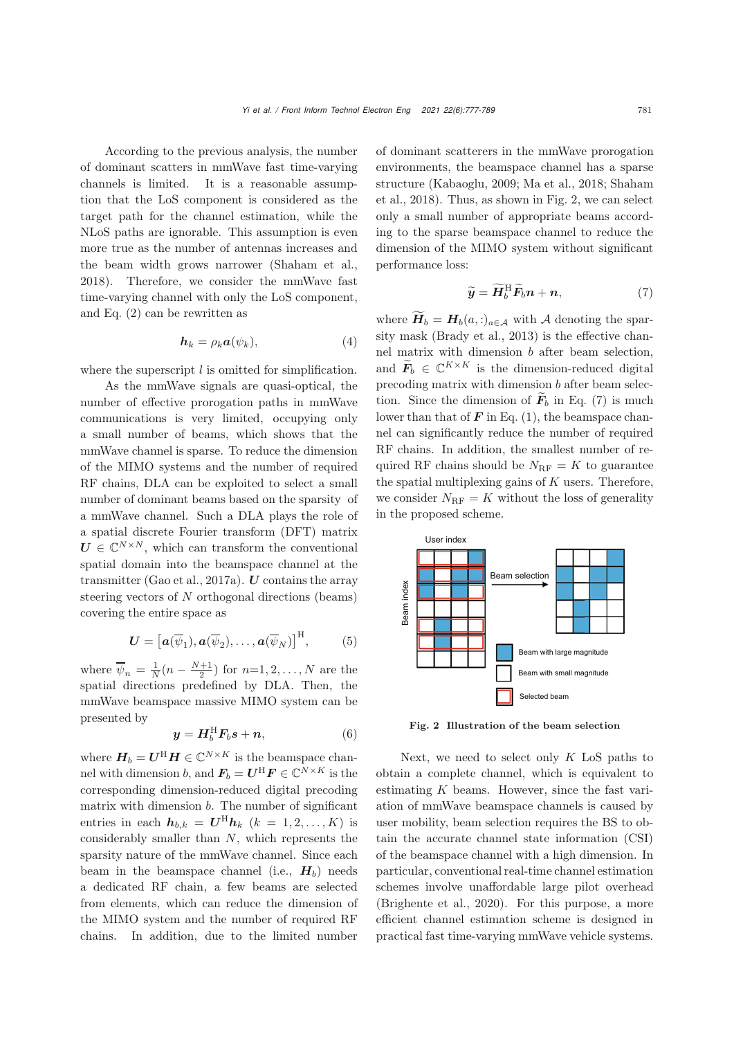According to the previous analysis, the number of dominant scatters in mmWave fast time-varying channels is limited. It is a reasonable assumption that the LoS component is considered as the target path for the channel estimation, while the NLoS paths are ignorable. This assumption is even more true as the number of antennas increases and the beam width grows narrower [\(Shaham et al.](#page-12-0), [2018](#page-12-0)). Therefore, we consider the mmWave fast time-varying channel with only the LoS component, and Eq. [\(2\)](#page-3-1) can be rewritten as

<span id="page-4-3"></span>
$$
h_k = \rho_k a(\psi_k), \tag{4}
$$

where the superscript  $l$  is omitted for simplification.

As the mmWave signals are quasi-optical, the number of effective prorogation paths in mmWave communications is very limited, occupying only a small number of beams, which shows that the mmWave channel is sparse. To reduce the dimension of the MIMO systems and the number of required RF chains, DLA can be exploited to select a small number of dominant beams based on the sparsity of a mmWave channel. Such a DLA plays the role of a spatial discrete Fourier transform (DFT) matrix  $U \in \mathbb{C}^{N \times N}$ , which can transform the conventional spatial domain into the beamspace channel at the transmitter [\(Gao et al., 2017a\)](#page-11-11). *U* contains the array steering vectors of N orthogonal directions (beams) covering the entire space as

<span id="page-4-2"></span>
$$
\mathbf{U} = \left[\mathbf{a}(\overline{\psi}_1), \mathbf{a}(\overline{\psi}_2), \dots, \mathbf{a}(\overline{\psi}_N)\right]^{\mathrm{H}},\tag{5}
$$

where  $\overline{\psi}_n = \frac{1}{N}(n - \frac{N+1}{2})$  for  $n=1,2,\ldots,N$  are the spatial directions predefined by DLA. Then, the mmWave beamspace massive MIMO system can be presented by

$$
\mathbf{y} = \mathbf{H}_b^{\mathrm{H}} \mathbf{F}_b \mathbf{s} + \mathbf{n},\tag{6}
$$

where  $\boldsymbol{H}_{b}=\boldsymbol{U}^{\text{H}}\boldsymbol{H}\in\mathbb{C}^{N\times K}$  is the beamspace channel with dimension b, and  $\mathbf{F}_b = \mathbf{U}^{\mathrm{H}} \mathbf{F} \in \mathbb{C}^{N \times K}$  is the corresponding dimension-reduced digital precoding matrix with dimension  $b$ . The number of significant entries in each  $h_{b,k} = U^{\text{H}} h_k$  ( $k = 1, 2, ..., K$ ) is considerably smaller than  $N$ , which represents the sparsity nature of the mmWave channel. Since each beam in the beamspace channel (i.e.,  $H_b$ ) needs a dedicated RF chain, a few beams are selected from elements, which can reduce the dimension of the MIMO system and the number of required RF chains. In addition, due to the limited number

of dominant scatterers in the mmWave prorogation environments, the beamspace channel has a sparse struc[ture](#page-12-0) [\(Kabaoglu](#page-11-5)[,](#page-12-0) [2009](#page-11-5)[;](#page-12-0) [Ma et al.](#page-11-12)[,](#page-12-0) [2018;](#page-11-12) Shaham et al., [2018\)](#page-12-0). Thus, as shown in Fig. [2,](#page-4-0) we can select only a small number of appropriate beams according to the sparse beamspace channel to reduce the dimension of the MIMO system without significant performance loss:

<span id="page-4-1"></span>
$$
\widetilde{\boldsymbol{y}} = \widetilde{\boldsymbol{H}}_b^{\mathrm{H}} \widetilde{\boldsymbol{F}}_b \boldsymbol{n} + \boldsymbol{n},\tag{7}
$$

where  $\widetilde{H}_b = H_b(a, \cdot)_{a \in \mathcal{A}}$  with A denoting the sparsity mask [\(Brady et al., 2013](#page-11-0)) is the effective channel matrix with dimension b after beam selection, and  $\widetilde{F}_b \in \mathbb{C}^{K \times K}$  is the dimension-reduced digital precoding matrix with dimension b after beam selection. Since the dimension of  $\tilde{F}_b$  in Eq. [\(7\)](#page-4-1) is much lower than that of  $\mathbf{F}$  in Eq. [\(1\)](#page-3-2), the beamspace channel can significantly reduce the number of required RF chains. In addition, the smallest number of required RF chains should be  $N_{\text{RF}} = K$  to guarantee the spatial multiplexing gains of  $K$  users. Therefore, we consider  $N_{\text{RF}} = K$  without the loss of generality in the proposed scheme.



<span id="page-4-0"></span>Fig. 2 Illustration of the beam selection

Next, we need to select only  $K$  LoS paths to obtain a complete channel, which is equivalent to estimating  $K$  beams. However, since the fast variation of mmWave beamspace channels is caused by user mobility, beam selection requires the BS to obtain the accurate channel state information (CSI) of the beamspace channel with a high dimension. In particular, conventional real-time channel estimation schemes involve unaffordable large pilot overhead [\(Brighente et al.](#page-11-13), [2020](#page-11-13)). For this purpose, a more efficient channel estimation scheme is designed in practical fast time-varying mmWave vehicle systems.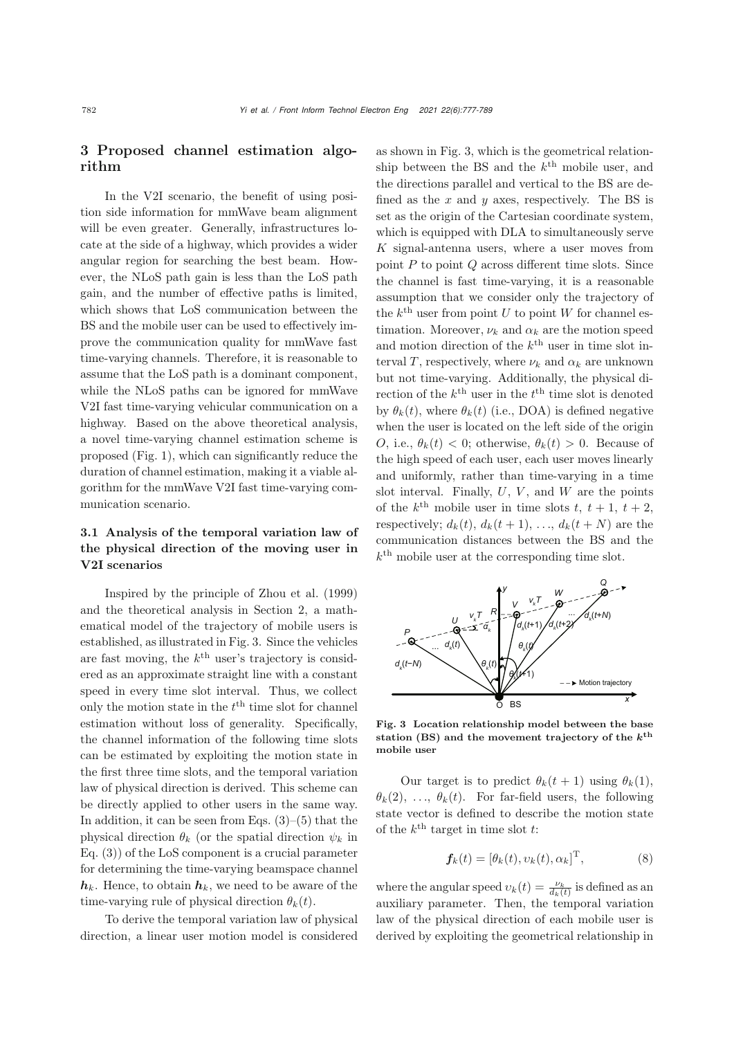# 3 Proposed channel estimation algorithm

In the V2I scenario, the benefit of using position side information for mmWave beam alignment will be even greater. Generally, infrastructures locate at the side of a highway, which provides a wider angular region for searching the best beam. However, the NLoS path gain is less than the LoS path gain, and the number of effective paths is limited, which shows that LoS communication between the BS and the mobile user can be used to effectively improve the communication quality for mmWave fast time-varying channels. Therefore, it is reasonable to assume that the LoS path is a dominant component, while the NLoS paths can be ignored for mmWave V2I fast time-varying vehicular communication on a highway. Based on the above theoretical analysis, a novel time-varying channel estimation scheme is proposed (Fig. [1\)](#page-3-0), which can significantly reduce the duration of channel estimation, making it a viable algorithm for the mmWave V2I fast time-varying communication scenario.

# 3.1 Analysis of the temporal variation law of the physical direction of the moving user in V2I scenarios

Inspired by the principle of [Zhou et al.](#page-12-4) [\(1999](#page-12-4)) and the theoretical analysis in Section 2, a mathematical model of the trajectory of mobile users is established, as illustrated in Fig. [3.](#page-5-0) Since the vehicles are fast moving, the  $k^{\text{th}}$  user's trajectory is considered as an approximate straight line with a constant speed in every time slot interval. Thus, we collect only the motion state in the  $t<sup>th</sup>$  time slot for channel estimation without loss of generality. Specifically, the channel information of the following time slots can be estimated by exploiting the motion state in the first three time slots, and the temporal variation law of physical direction is derived. This scheme can be directly applied to other users in the same way. In addition, it can be seen from Eqs.  $(3)-(5)$  $(3)-(5)$  $(3)-(5)$  that the physical direction  $\theta_k$  (or the spatial direction  $\psi_k$  in Eq. [\(3\)](#page-3-3)) of the LoS component is a crucial parameter for determining the time-varying beamspace channel  $h_k$ . Hence, to obtain  $h_k$ , we need to be aware of the time-varying rule of physical direction  $\theta_k(t)$ .

To derive the temporal variation law of physical direction, a linear user motion model is considered as shown in Fig. [3,](#page-5-0) which is the geometrical relationship between the BS and the  $k^{\text{th}}$  mobile user, and the directions parallel and vertical to the BS are defined as the x and y axes, respectively. The BS is set as the origin of the Cartesian coordinate system, which is equipped with DLA to simultaneously serve K signal-antenna users, where a user moves from point  $P$  to point  $Q$  across different time slots. Since the channel is fast time-varying, it is a reasonable assumption that we consider only the trajectory of the  $k^{\text{th}}$  user from point U to point W for channel estimation. Moreover,  $\nu_k$  and  $\alpha_k$  are the motion speed and motion direction of the  $k^{\text{th}}$  user in time slot interval T, respectively, where  $\nu_k$  and  $\alpha_k$  are unknown but not time-varying. Additionally, the physical direction of the  $k^{\text{th}}$  user in the  $t^{\text{th}}$  time slot is denoted by  $\theta_k(t)$ , where  $\theta_k(t)$  (i.e., DOA) is defined negative when the user is located on the left side of the origin O, i.e.,  $\theta_k(t) < 0$ ; otherwise,  $\theta_k(t) > 0$ . Because of the high speed of each user, each user moves linearly and uniformly, rather than time-varying in a time slot interval. Finally,  $U, V$ , and  $W$  are the points of the  $k^{\text{th}}$  mobile user in time slots t,  $t + 1$ ,  $t + 2$ , respectively;  $d_k(t)$ ,  $d_k(t+1)$ , ...,  $d_k(t+N)$  are the communication distances between the BS and the  $k^{\text{th}}$  mobile user at the corresponding time slot.



<span id="page-5-0"></span>Fig. 3 Location relationship model between the base station (BS) and the movement trajectory of the *k***th** mobile user

Our target is to predict  $\theta_k(t+1)$  using  $\theta_k(1)$ ,  $\theta_k(2), \ldots, \theta_k(t)$ . For far-field users, the following state vector is defined to describe the motion state of the  $k^{\text{th}}$  target in time slot t:

$$
\mathbf{f}_k(t) = [\theta_k(t), \upsilon_k(t), \alpha_k]^{\mathrm{T}}, \tag{8}
$$

where the angular speed  $v_k(t) = \frac{\nu_k}{d_k(t)}$  is defined as an auxiliary parameter. Then, the temporal variation law of the physical direction of each mobile user is derived by exploiting the geometrical relationship in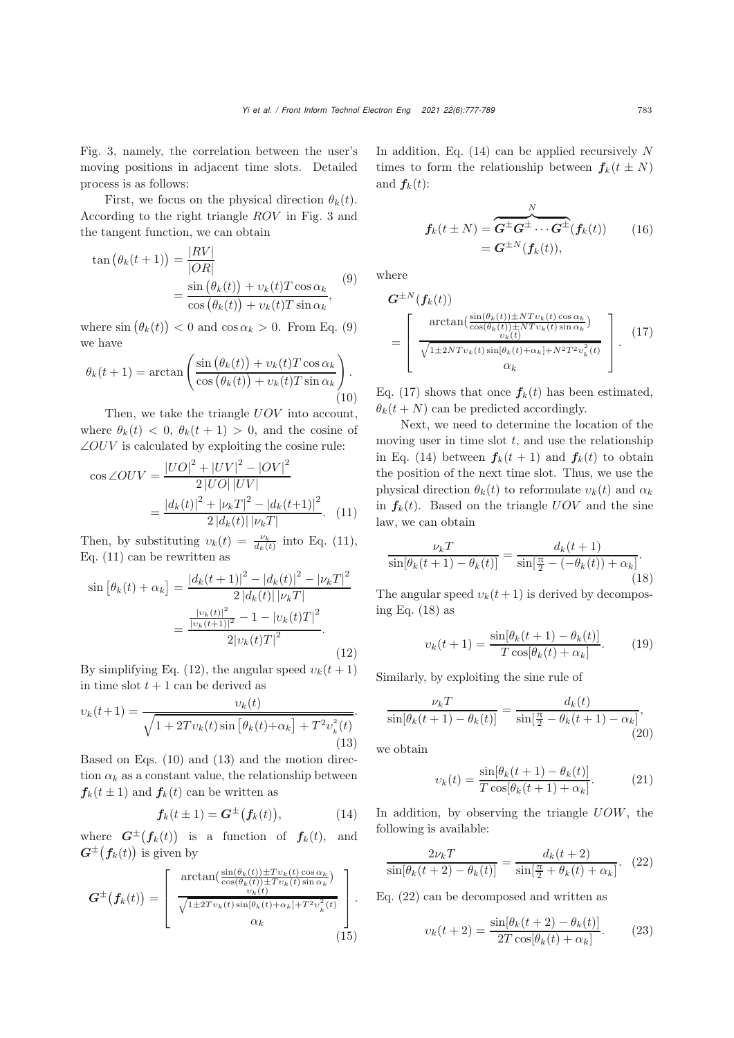Fig. [3,](#page-5-0) namely, the correlation between the user's moving positions in adjacent time slots. Detailed process is as follows:

First, we focus on the physical direction  $\theta_k(t)$ . According to the right triangle ROV in Fig. [3](#page-5-0) and the tangent function, we can obtain

<span id="page-6-0"></span>
$$
\tan (\theta_k(t+1)) = \frac{|RV|}{|OR|}
$$
  
= 
$$
\frac{\sin (\theta_k(t)) + v_k(t)T \cos \alpha_k}{\cos (\theta_k(t)) + v_k(t)T \sin \alpha_k},
$$
 (9)

where  $\sin (\theta_k(t)) < 0$  and  $\cos \alpha_k > 0$ . From Eq. [\(9\)](#page-6-0) we have

<span id="page-6-3"></span>
$$
\theta_k(t+1) = \arctan\left(\frac{\sin(\theta_k(t)) + v_k(t)T\cos\alpha_k}{\cos(\theta_k(t)) + v_k(t)T\sin\alpha_k}\right).
$$
\n(10)

Then, we take the triangle  $UOV$  into account, where  $\theta_k(t) < 0$ ,  $\theta_k(t+1) > 0$ , and the cosine of  $\angle OUV$  is calculated by exploiting the cosine rule:

<span id="page-6-1"></span>
$$
\cos \angle OUV = \frac{|UO|^2 + |UV|^2 - |OV|^2}{2|UO||UV|}
$$

$$
= \frac{|d_k(t)|^2 + |\nu_k T|^2 - |d_k(t+1)|^2}{2|d_k(t)| |\nu_k T|}. \quad (11)
$$

Then, by substituting  $v_k(t) = \frac{\nu_k}{d_k(t)}$  into Eq. [\(11\)](#page-6-1), Eq. [\(11\)](#page-6-1) can be rewritten as

<span id="page-6-2"></span>
$$
\sin\left[\theta_k(t) + \alpha_k\right] = \frac{|d_k(t+1)|^2 - |d_k(t)|^2 - |\nu_k T|^2}{2|d_k(t)| |\nu_k T|}
$$

$$
= \frac{\frac{|\nu_k(t)|^2}{|\nu_k(t+1)|^2} - 1 - |\nu_k(t)T|^2}{2|\nu_k(t)T|^2}.
$$
(12)

By simplifying Eq. [\(12\)](#page-6-2), the angular speed  $v_k(t+1)$ in time slot  $t + 1$  can be derived as

<span id="page-6-4"></span>
$$
v_k(t+1) = \frac{v_k(t)}{\sqrt{1 + 2Tv_k(t)\sin\left[\theta_k(t) + \alpha_k\right] + T^2v_k^2(t)}}.
$$
\n(13)

Based on Eqs. [\(10\)](#page-6-3) and [\(13\)](#page-6-4) and the motion direction  $\alpha_k$  as a constant value, the relationship between  $f_k(t \pm 1)$  and  $f_k(t)$  can be written as

<span id="page-6-5"></span>
$$
\boldsymbol{f}_k(t \pm 1) = \boldsymbol{G}^{\pm}(\boldsymbol{f}_k(t)), \tag{14}
$$

where  $G^{\pm}(f_k(t))$  is a function of  $f_k(t)$ , and  $G^{\pm}(f_k(t))$  is given by

$$
G^{\pm}(f_k(t)) = \begin{bmatrix} \arctan(\frac{\sin(\theta_k(t)) \pm T v_k(t) \cos \alpha_k}{\cos(\theta_k(t)) \pm T v_k(t) \sin \alpha_k}) \\ \frac{v_k(t)}{\sqrt{1 \pm 2 T v_k(t) \sin[\theta_k(t) + \alpha_k] + T^2 v_k^2(t)}} \\ \alpha_k \end{bmatrix}.
$$
\n(15)

In addition, Eq.  $(14)$  can be applied recursively N times to form the relationship between  $f_k(t \pm N)$ and  $f_k(t)$ :

$$
f_k(t \pm N) = \overbrace{G^{\pm}G^{\pm} \cdots G^{\pm}}^{N}(f_k(t)) \qquad (16)
$$

$$
= G^{\pm N}(f_k(t)),
$$

where

<span id="page-6-6"></span>
$$
G^{\pm N}(f_k(t))
$$
  
= 
$$
\begin{bmatrix} \arctan(\frac{\sin(\theta_k(t)) \pm N T v_k(t) \cos \alpha_k}{\cos(\theta_k(t)) \pm N T v_k(t) \sin \alpha_k}) \\ \frac{v_k(t)}{\sqrt{1 \pm 2 N T v_k(t) \sin[\theta_k(t) + \alpha_k] + N^2 T^2 v_k^2(t)}} \\ \alpha_k \end{bmatrix}.
$$
 (17)

Eq. [\(17\)](#page-6-6) shows that once  $f_k(t)$  has been estimated,  $\theta_k(t+N)$  can be predicted accordingly.

Next, we need to determine the location of the moving user in time slot  $t$ , and use the relationship in Eq. [\(14\)](#page-6-5) between  $f_k(t + 1)$  and  $f_k(t)$  to obtain the position of the next time slot. Thus, we use the physical direction  $\theta_k(t)$  to reformulate  $v_k(t)$  and  $\alpha_k$ in  $f_k(t)$ . Based on the triangle  $UOV$  and the sine law, we can obtain

<span id="page-6-7"></span>
$$
\frac{\nu_k T}{\sin[\theta_k(t+1) - \theta_k(t)]} = \frac{d_k(t+1)}{\sin[\frac{\pi}{2} - (-\theta_k(t)) + \alpha_k]}.
$$
\n(18)

The angular speed  $v_k(t+1)$  is derived by decomposing Eq. [\(18\)](#page-6-7) as

$$
v_k(t+1) = \frac{\sin[\theta_k(t+1) - \theta_k(t)]}{T \cos[\theta_k(t) + \alpha_k]}.
$$
 (19)

Similarly, by exploiting the sine rule of

$$
\frac{\nu_k T}{\sin[\theta_k(t+1) - \theta_k(t)]} = \frac{d_k(t)}{\sin[\frac{\pi}{2} - \theta_k(t+1) - \alpha_k]},
$$
\n(20)

we obtain

$$
v_k(t) = \frac{\sin[\theta_k(t+1) - \theta_k(t)]}{T\cos[\theta_k(t+1) + \alpha_k]}.
$$
 (21)

In addition, by observing the triangle  $UOW$ , the following is available:

<span id="page-6-8"></span>
$$
\frac{2\nu_k T}{\sin[\theta_k(t+2) - \theta_k(t)]} = \frac{d_k(t+2)}{\sin[\frac{\pi}{2} + \theta_k(t) + \alpha_k]}.
$$
 (22)

Eq. [\(22\)](#page-6-8) can be decomposed and written as

$$
v_k(t+2) = \frac{\sin[\theta_k(t+2) - \theta_k(t)]}{2T\cos[\theta_k(t) + \alpha_k]}.
$$
 (23)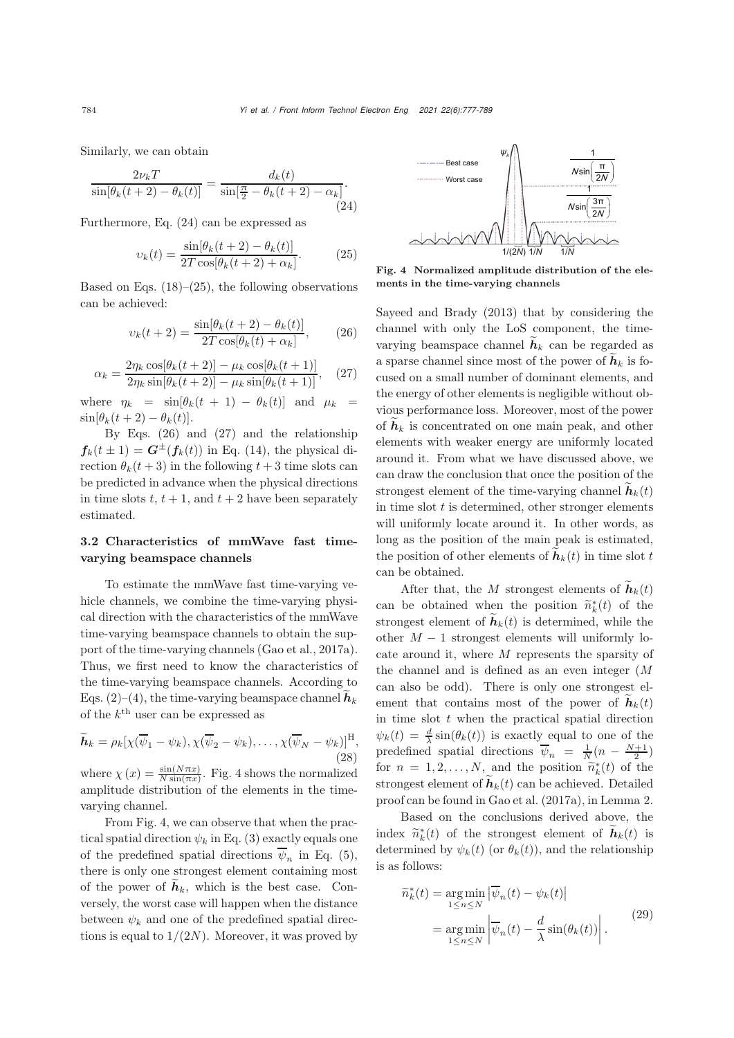Similarly, we can obtain

<span id="page-7-0"></span>
$$
\frac{2\nu_k T}{\sin[\theta_k(t+2) - \theta_k(t)]} = \frac{d_k(t)}{\sin[\frac{\pi}{2} - \theta_k(t+2) - \alpha_k]}.
$$
\n(24)

Furthermore, Eq. [\(24\)](#page-7-0) can be expressed as

<span id="page-7-1"></span>
$$
v_k(t) = \frac{\sin[\theta_k(t+2) - \theta_k(t)]}{2T\cos[\theta_k(t+2) + \alpha_k]}.
$$
 (25)

Based on Eqs.  $(18)$ – $(25)$ , the following observations can be achieved:

<span id="page-7-2"></span>
$$
v_k(t+2) = \frac{\sin[\theta_k(t+2) - \theta_k(t)]}{2T\cos[\theta_k(t) + \alpha_k]},
$$
 (26)

<span id="page-7-3"></span>
$$
\alpha_k = \frac{2\eta_k \cos[\theta_k(t+2)] - \mu_k \cos[\theta_k(t+1)]}{2\eta_k \sin[\theta_k(t+2)] - \mu_k \sin[\theta_k(t+1)]},
$$
 (27)

where  $\eta_k = \sin[\theta_k(t+1) - \theta_k(t)]$  and  $\mu_k =$  $\sin[\theta_k(t+2) - \theta_k(t)].$ 

By Eqs.  $(26)$  and  $(27)$  and the relationship  $f_k(t \pm 1) = G^{\pm}(f_k(t))$  in Eq. [\(14\)](#page-6-5), the physical direction  $\theta_k(t+3)$  in the following  $t+3$  time slots can be predicted in advance when the physical directions in time slots  $t, t + 1$ , and  $t + 2$  have been separately estimated.

#### 3.2 Characteristics of mmWave fast timevarying beamspace channels

To estimate the mmWave fast time-varying vehicle channels, we combine the time-varying physical direction with the characteristics of the mmWave time-varying beamspace channels to obtain the support of the time-varying channels [\(Gao et al., 2017a\)](#page-11-11). Thus, we first need to know the characteristics of the time-varying beamspace channels. According to Eqs. [\(2\)](#page-3-1)–[\(4\)](#page-4-3), the time-varying beamspace channel  $\tilde{h}_k$ of the  $k^{\text{th}}$  user can be expressed as

$$
\widetilde{\boldsymbol{h}}_k = \rho_k [\chi(\overline{\psi}_1 - \psi_k), \chi(\overline{\psi}_2 - \psi_k), \dots, \chi(\overline{\psi}_N - \psi_k)]^{\mathrm{H}},
$$
\n(28)

where  $\chi(x) = \frac{\sin(N\pi x)}{N\sin(\pi x)}$ . Fig. [4](#page-7-4) shows the normalized amplitude distribution of the elements in the timevarying channel.

From Fig. [4,](#page-7-4) we can observe that when the practical spatial direction  $\psi_k$  in Eq. [\(3\)](#page-3-3) exactly equals one of the predefined spatial directions  $\overline{\psi}_n$  in Eq. [\(5\)](#page-4-2), there is only one strongest element containing most of the power of  $\tilde{\boldsymbol{h}}_k$ , which is the best case. Conversely, the worst case will happen when the distance between  $\psi_k$  and one of the predefined spatial directions is equal to  $1/(2N)$ . Moreover, it was proved by



<span id="page-7-4"></span>Fig. 4 Normalized amplitude distribution of the elements in the time-varying channels

[Sayeed and Brady](#page-11-4) [\(2013\)](#page-11-4) that by considering the channel with only the LoS component, the timevarying beamspace channel  $\tilde{h}_k$  can be regarded as a sparse channel since most of the power of  $\tilde{h}_k$  is focused on a small number of dominant elements, and the energy of other elements is negligible without obvious performance loss. Moreover, most of the power of  $\tilde{h}_k$  is concentrated on one main peak, and other elements with weaker energy are uniformly located around it. From what we have discussed above, we can draw the conclusion that once the position of the strongest element of the time-varying channel  $h_k(t)$ in time slot  $t$  is determined, other stronger elements will uniformly locate around it. In other words, as long as the position of the main peak is estimated, the position of other elements of  $h_k(t)$  in time slot t can be obtained.

After that, the M strongest elements of  $\widetilde{\boldsymbol{h}}_k(t)$ can be obtained when the position  $\tilde{n}_{k}^{*}(t)$  of the streament of  $\tilde{h}_{k}(t)$  is determined while the strongest element of  $h_k(t)$  is determined, while the other  $M-1$  strongest elements will uniformly locate around it, where M represents the sparsity of the channel and is defined as an even integer (M can also be odd). There is only one strongest element that contains most of the power of  $\mathbf{h}_k(t)$ in time slot  $t$  when the practical spatial direction  $\psi_k(t) = \frac{d}{\lambda} \sin(\theta_k(t))$  is exactly equal to one of the predefined spatial directions  $\overline{\psi}_n = \frac{1}{N}(n - \frac{N+1}{2})$ for  $n = 1, 2, ..., N$ , and the position  $\tilde{n}_k^*(t)$  of the streament of  $\tilde{h}_k(t)$  can be solitated. Detailed strongest element of  $\hat{\boldsymbol{h}}_k(t)$  can be achieved. Detailed proof can be found in [Gao et al.](#page-11-11) [\(2017a](#page-11-11)), in Lemma 2.

Based on the conclusions derived above, the index  $\widetilde{n}_{k}^{*}(t)$  of the strongest element of  $\widetilde{h}_{k}(t)$  is<br>determined by  $\psi_{k}(t)$  (en  $\theta_{k}(t)$ ) and the relationship determined by  $\psi_k(t)$  (or  $\theta_k(t)$ ), and the relationship is as follows:

<span id="page-7-5"></span>
$$
\widetilde{n}_{k}^{*}(t) = \underset{1 \le n \le N}{\arg \min} \left| \overline{\psi}_{n}(t) - \psi_{k}(t) \right|
$$
\n
$$
= \underset{1 \le n \le N}{\arg \min} \left| \overline{\psi}_{n}(t) - \frac{d}{\lambda} \sin(\theta_{k}(t)) \right|.
$$
\n(29)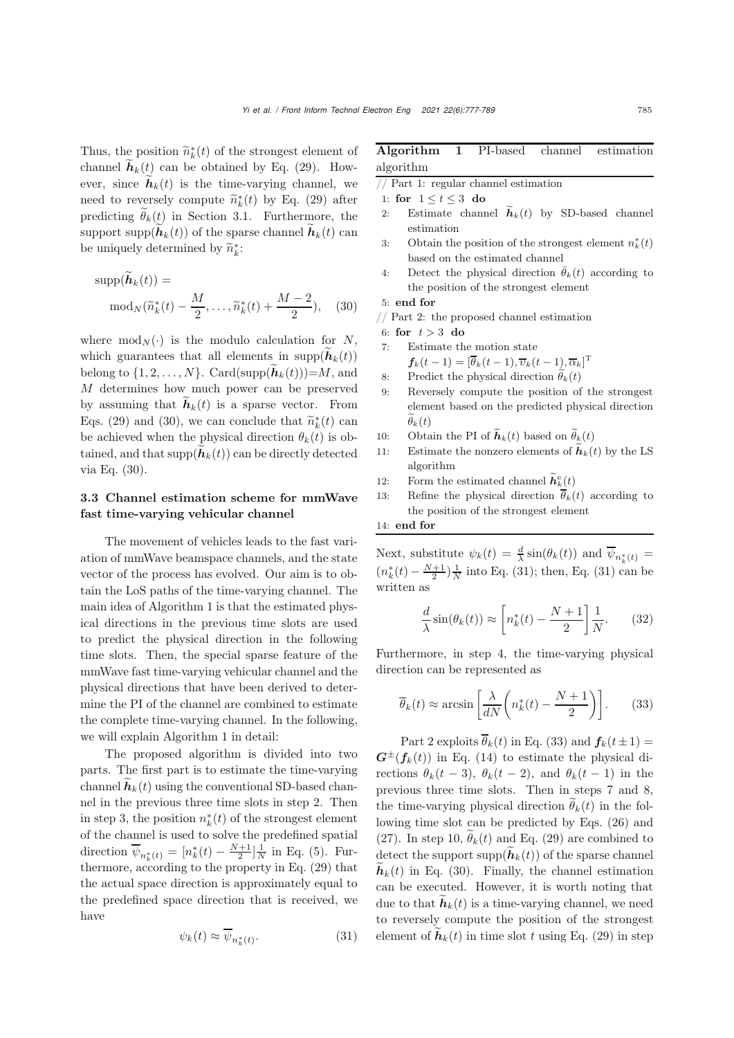Thus, the position  $\widetilde{n}_{k}^{*}(t)$  of the strongest element of channel  $\widetilde{h}_{k}(t)$  can be obtained by  $\mathbb{F}_{a_{k}}(20)$ . However, channel  $h_k(t)$  can be obtained by Eq. [\(29\)](#page-7-5). However, since  $\tilde{h}_k(t)$  is the time-varying channel, we need to reversely compute  $\tilde{n}_{k}^{*}(t)$  by Eq. [\(29\)](#page-7-5) after<br>numerities  $\tilde{\theta}_{k}(t)$  in Section 2.1. European the predicting  $\widetilde{\theta}_k(t)$  in Section 3.1. Furthermore, the support supp $(h_k(t))$  of the sparse channel  $\hat{h}_k(t)$  can be uniquely determined by  $\widetilde{n}_{k}^{*}$ :

<span id="page-8-0"></span>
$$
\text{supp}(\widetilde{\boldsymbol{h}}_k(t)) = \text{mod}_N(\widetilde{n}_k^*(t) - \frac{M}{2}, \dots, \widetilde{n}_k^*(t) + \frac{M-2}{2}), \quad (30)
$$

where  $mod_N(\cdot)$  is the modulo calculation for N, which guarantees that all elements in  $\text{supp}(\hat{\boldsymbol{h}}_k(t))$ belong to  $\{1, 2, ..., N\}$ . Card(supp $(\widetilde{h}_k(t))=M$ , and M determines how much power can be preserved by assuming that  $\hat{\boldsymbol{h}}_k(t)$  is a sparse vector. From Eqs. [\(29\)](#page-7-5) and [\(30\)](#page-8-0), we can conclude that  $\tilde{n}_{k}^{*}(t)$  can<br>be solvined when the physical direction  $\theta_{k}(t)$  is ab be achieved when the physical direction  $\theta_k(t)$  is obtained, and that  $\text{supp}(\tilde{\boldsymbol{h}}_k(t))$  can be directly detected via Eq. [\(30\)](#page-8-0).

## 3.3 Channel estimation scheme for mmWave fast time-varying vehicular channel

The movement of vehicles leads to the fast variation of mmWave beamspace channels, and the state vector of the process has evolved. Our aim is to obtain the LoS paths of the time-varying channel. The main idea of Algorithm 1 is that the estimated physical directions in the previous time slots are used to predict the physical direction in the following time slots. Then, the special sparse feature of the mmWave fast time-varying vehicular channel and the physical directions that have been derived to determine the PI of the channel are combined to estimate the complete time-varying channel. In the following, we will explain Algorithm 1 in detail:

The proposed algorithm is divided into two parts. The first part is to estimate the time-varying channel  $h_k(t)$  using the conventional SD-based channel in the previous three time slots in step 2. Then in step 3, the position  $n_k^*(t)$  of the strongest element of the channel is used to solve the predefined spatial direction  $\overline{\psi}_{n_k^*(t)} = [n_k^*(t) - \frac{N+1}{2}] \frac{1}{N}$  in Eq. [\(5\)](#page-4-2). Furthermore, according to the property in Eq. [\(29\)](#page-7-5) that the actual space direction is approximately equal to the predefined space direction that is received, we have

<span id="page-8-1"></span>
$$
\psi_k(t) \approx \overline{\psi}_{n_k^*(t)}.\tag{31}
$$

| Algorithm 1 PI-based channel estimation          |  |  |  |  |
|--------------------------------------------------|--|--|--|--|
| algorithm                                        |  |  |  |  |
| // Part 1: regular channel estimation            |  |  |  |  |
| 1: for $1 \le t \le 3$ do                        |  |  |  |  |
| 2: Estimate channel $h_k(t)$ by SD-based channel |  |  |  |  |

- Estimate channel  $\tilde{h}_k(t)$  by SD-based channel estimation
- 3: Obtain the position of the strongest element  $n_k^*(t)$ based on the estimated channel
- 4: Detect the physical direction  $\bar{\theta}_k(t)$  according to the position of the strongest element

## 5: end for

- $//$  Part 2: the proposed channel estimation
- 6: for  $t > 3$  do
- 7: Estimate the motion state  $f_k(t-1) = [\overline{\theta}_k(t-1), \overline{\upsilon}_k(t-1), \overline{\alpha}_k]^{\mathrm{T}}$
- 8: Predict the physical direction  $\widetilde{\theta}_k(t)$
- 9: Reversely compute the position of the strongest element based on the predicted physical direction  $\theta_k(t)$ 8: Predict the physics<br>
9: Reversely compute<br>
element based on t<br>  $\widetilde{\theta}_k(t)$ <br>
10: Obtain the PI of  $\widetilde{h}$ 11: Reversely compute the position of the strongest<br>
element based on the predicted physical direction<br>  $\tilde{\theta}_k(t)$ <br>
10: Obtain the PI of  $\tilde{\mathbf{h}}_k(t)$  based on  $\tilde{\theta}_k(t)$ <br>
11: Estimate the nonzero elements of  $\tilde{\mathbf{$
- $h_k(t)$  based on  $\theta_k(t)$
- algorithm 10: Obtain the PI of  $\widetilde{h}_k(t)$  based<br>11: Estimate the nonzero elements<br>algorithm<br>12: Form the estimated channel  $\widetilde{h}$
- e *<sup>k</sup>*(t)
- 13: Refine the physical direction  $\overline{\theta}_k(t)$  according to the position of the strongest element

14: end for

Next, substitute  $\psi_k(t) = \frac{d}{\lambda} \sin(\theta_k(t))$  and  $\overline{\psi}_{n^*_k(t)}$  $(n_k^*(t) - \frac{N+1}{2})\frac{1}{N}$  into Eq. [\(31\)](#page-8-1); then, Eq. (31) can be written as

$$
\frac{d}{\lambda}\sin(\theta_k(t)) \approx \left[n_k^*(t) - \frac{N+1}{2}\right]\frac{1}{N}.\tag{32}
$$

Furthermore, in step 4, the time-varying physical direction can be represented as

<span id="page-8-2"></span>
$$
\overline{\theta}_k(t) \approx \arcsin\left[\frac{\lambda}{dN}\left(n_k^*(t) - \frac{N+1}{2}\right)\right].\tag{33}
$$

Part 2 exploits  $\overline{\theta}_k(t)$  in Eq. [\(33\)](#page-8-2) and  $f_k(t\pm 1)$  =  $G^{\pm}(f_k(t))$  in Eq. [\(14\)](#page-6-5) to estimate the physical directions  $\theta_k(t-3)$ ,  $\theta_k(t-2)$ , and  $\theta_k(t-1)$  in the previous three time slots. Then in steps 7 and 8, the time-varying physical direction  $\widetilde{\theta}_k(t)$  in the following time slot can be predicted by Eqs. [\(26\)](#page-7-2) and [\(27\)](#page-7-3). In step 10,  $\widetilde{\theta}_k(t)$  and Eq. [\(29\)](#page-7-5) are combined to detect the support  $\supp(\tilde{\boldsymbol{h}}_k(t))$  of the sparse channel  $h_k(t)$  in Eq. [\(30\)](#page-8-0). Finally, the channel estimation can be executed. However, it is worth noting that due to that  $h_k(t)$  is a time-varying channel, we need to reversely compute the position of the strongest element of  $\tilde{\boldsymbol{h}}_k(t)$  in time slot t using Eq. [\(29\)](#page-7-5) in step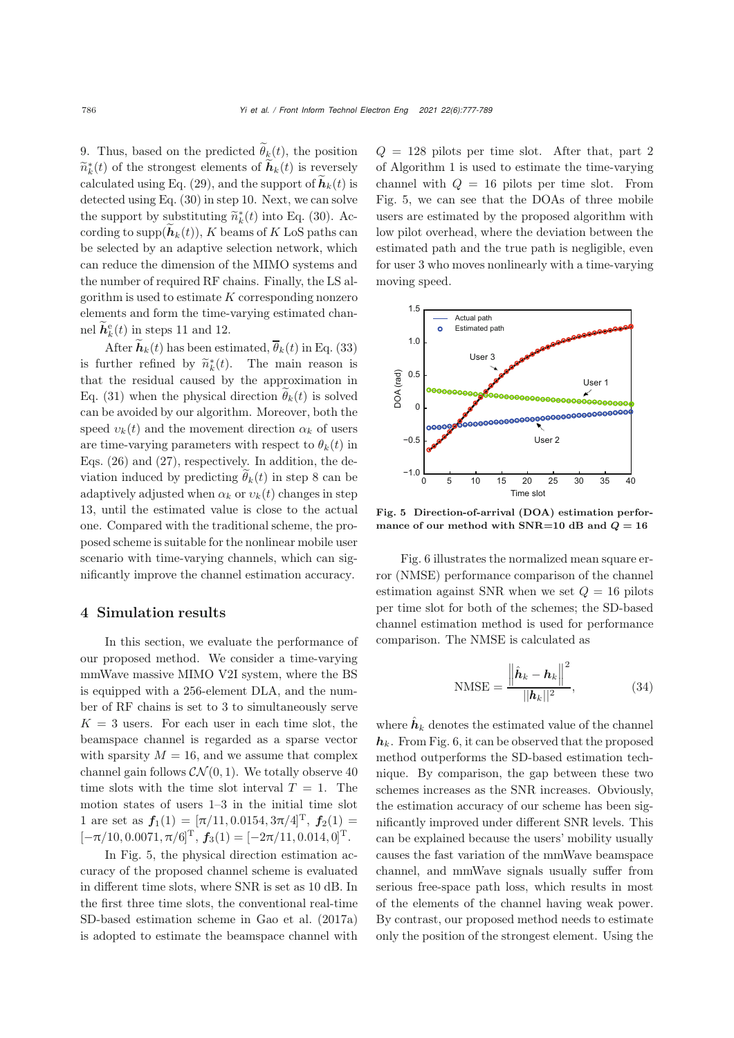9. Thus, based on the predicted  $\widetilde{\theta}_k(t)$ , the position  $\widetilde{n}_{k}^{*}(t)$  of the strongest elements of  $\widetilde{h}_{k}(t)$  is reversely calculated using Eq. [\(29\)](#page-7-5), and the support of  $\tilde{\boldsymbol{h}}_k(t)$  is detected using Eq. [\(30\)](#page-8-0) in step 10. Next, we can solve the support by substituting  $\widetilde{n}_{k}^{*}(t)$  into Eq. [\(30\)](#page-8-0). Ac-<br>conditionto supp $(\widetilde{h}_{k}(t))$ . K has measily LeS not be seen cording to supp $(h_k(t)), K$  beams of K LoS paths can be selected by an adaptive selection network, which can reduce the dimension of the MIMO systems and the number of required RF chains. Finally, the LS algorithm is used to estimate  $K$  corresponding nonzero elements and form the time-varying estimated channel  $\widetilde{h}_k^e(t)$  in steps 11 and 12.

After  $\widetilde{\boldsymbol{h}}_k(t)$  has been estimated,  $\overline{\theta}_k(t)$  in Eq. [\(33\)](#page-8-2) is further refined by  $\tilde{n}_{k}^{*}(t)$ . The main reason is<br>that the regidual caused by the approximation in that the residual caused by the approximation in Eq. [\(31\)](#page-8-1) when the physical direction  $\tilde{\theta}_k(t)$  is solved can be avoided by our algorithm. Moreover, both the speed  $v_k(t)$  and the movement direction  $\alpha_k$  of users are time-varying parameters with respect to  $\theta_k(t)$  in Eqs. [\(26\)](#page-7-2) and [\(27\)](#page-7-3), respectively. In addition, the deviation induced by predicting  $\widetilde{\theta}_k(t)$  in step 8 can be adaptively adjusted when  $\alpha_k$  or  $v_k(t)$  changes in step 13, until the estimated value is close to the actual one. Compared with the traditional scheme, the proposed scheme is suitable for the nonlinear mobile user scenario with time-varying channels, which can significantly improve the channel estimation accuracy.

# 4 Simulation results

In this section, we evaluate the performance of our proposed method. We consider a time-varying mmWave massive MIMO V2I system, where the BS is equipped with a 256-element DLA, and the number of RF chains is set to 3 to simultaneously serve  $K = 3$  users. For each user in each time slot, the beamspace channel is regarded as a sparse vector with sparsity  $M = 16$ , and we assume that complex channel gain follows  $\mathcal{CN}(0,1)$ . We totally observe 40 time slots with the time slot interval  $T = 1$ . The motion states of users 1–3 in the initial time slot 1 are set as  $f_1(1) = [\pi/11, 0.0154, 3\pi/4]^T$ ,  $f_2(1) =$  $[-\pi/10, 0.0071, \pi/6]^{\text{T}}$ ,  $f_3(1) = [-2\pi/11, 0.014, 0]^{\text{T}}$ .

In Fig. [5,](#page-9-0) the physical direction estimation accuracy of the proposed channel scheme is evaluated in different time slots, where SNR is set as 10 dB. In the first three time slots, the conventional real-time SD-based estimation scheme in [Gao et al.](#page-11-11) [\(2017a\)](#page-11-11) is adopted to estimate the beamspace channel with  $Q = 128$  pilots per time slot. After that, part 2 of Algorithm 1 is used to estimate the time-varying channel with  $Q = 16$  pilots per time slot. From Fig. [5,](#page-9-0) we can see that the DOAs of three mobile users are estimated by the proposed algorithm with low pilot overhead, where the deviation between the estimated path and the true path is negligible, even for user 3 who moves nonlinearly with a time-varying moving speed.



<span id="page-9-0"></span>Fig. 5 Direction-of-arrival (DOA) estimation performance of our method with SNR=10 dB and  $Q = 16$ 

Fig. [6](#page-10-0) illustrates the normalized mean square error (NMSE) performance comparison of the channel estimation against SNR when we set  $Q = 16$  pilots per time slot for both of the schemes; the SD-based channel estimation method is used for performance comparison. The NMSE is calculated as

$$
\text{NMSE} = \frac{\left\| \hat{\boldsymbol{h}}_k - \boldsymbol{h}_k \right\|^2}{||\boldsymbol{h}_k||^2},\tag{34}
$$

where  $\hat{h}_k$  denotes the estimated value of the channel  $h_k$ . From Fig. [6,](#page-10-0) it can be observed that the proposed method outperforms the SD-based estimation technique. By comparison, the gap between these two schemes increases as the SNR increases. Obviously, the estimation accuracy of our scheme has been significantly improved under different SNR levels. This can be explained because the users' mobility usually causes the fast variation of the mmWave beamspace channel, and mmWave signals usually suffer from serious free-space path loss, which results in most of the elements of the channel having weak power. By contrast, our proposed method needs to estimate only the position of the strongest element. Using the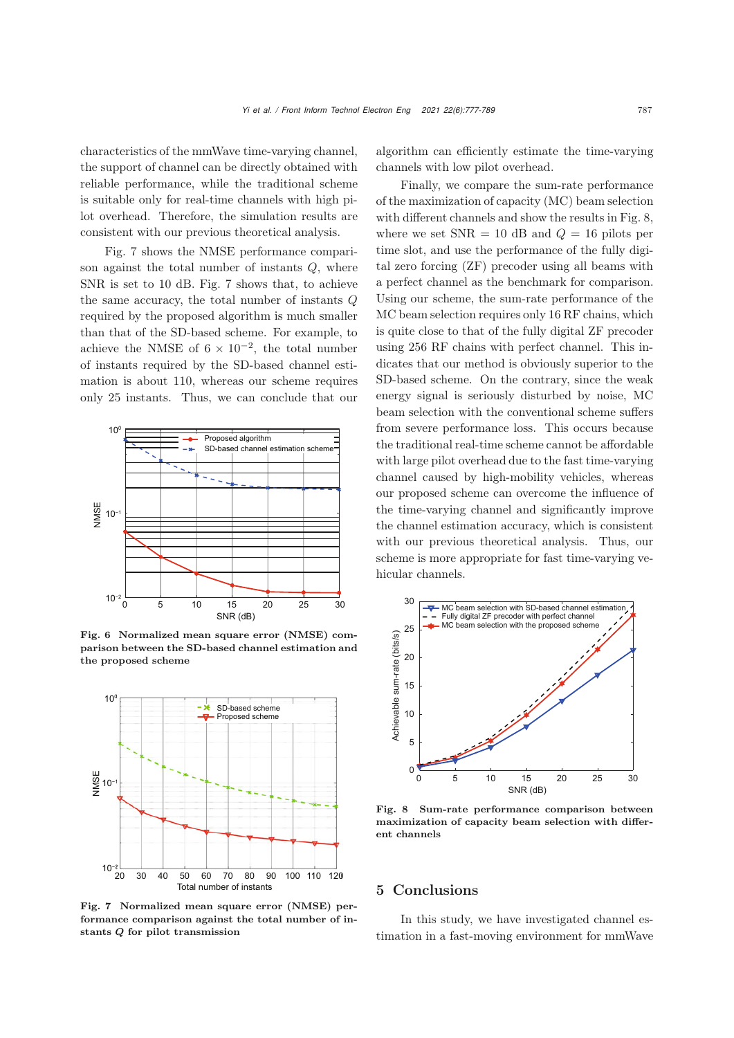characteristics of the mmWave time-varying channel, the support of channel can be directly obtained with reliable performance, while the traditional scheme is suitable only for real-time channels with high pilot overhead. Therefore, the simulation results are consistent with our previous theoretical analysis.

Fig. [7](#page-10-1) shows the NMSE performance comparison against the total number of instants  $Q$ , where SNR is set to 10 dB. Fig. [7](#page-10-1) shows that, to achieve the same accuracy, the total number of instants Q required by the proposed algorithm is much smaller than that of the SD-based scheme. For example, to achieve the NMSE of  $6 \times 10^{-2}$ , the total number of instants required by the SD-based channel estimation is about 110, whereas our scheme requires only 25 instants. Thus, we can conclude that our



<span id="page-10-0"></span>Fig. 6 Normalized mean square error (NMSE) comparison between the SD-based channel estimation and the proposed scheme



<span id="page-10-1"></span>Fig. 7 Normalized mean square error (NMSE) performance comparison against the total number of instants *Q* for pilot transmission

algorithm can efficiently estimate the time-varying channels with low pilot overhead.

Finally, we compare the sum-rate performance of the maximization of capacity (MC) beam selection with different channels and show the results in Fig. [8,](#page-10-2) where we set  $SNR = 10$  dB and  $Q = 16$  pilots per time slot, and use the performance of the fully digital zero forcing (ZF) precoder using all beams with a perfect channel as the benchmark for comparison. Using our scheme, the sum-rate performance of the MC beam selection requires only 16 RF chains, which is quite close to that of the fully digital ZF precoder using 256 RF chains with perfect channel. This indicates that our method is obviously superior to the SD-based scheme. On the contrary, since the weak energy signal is seriously disturbed by noise, MC beam selection with the conventional scheme suffers from severe performance loss. This occurs because the traditional real-time scheme cannot be affordable with large pilot overhead due to the fast time-varying channel caused by high-mobility vehicles, whereas our proposed scheme can overcome the influence of the time-varying channel and significantly improve the channel estimation accuracy, which is consistent with our previous theoretical analysis. Thus, our scheme is more appropriate for fast time-varying vehicular channels.



<span id="page-10-2"></span>Fig. 8 Sum-rate performance comparison between maximization of capacity beam selection with different channels

## 5 Conclusions

In this study, we have investigated channel estimation in a fast-moving environment for mmWave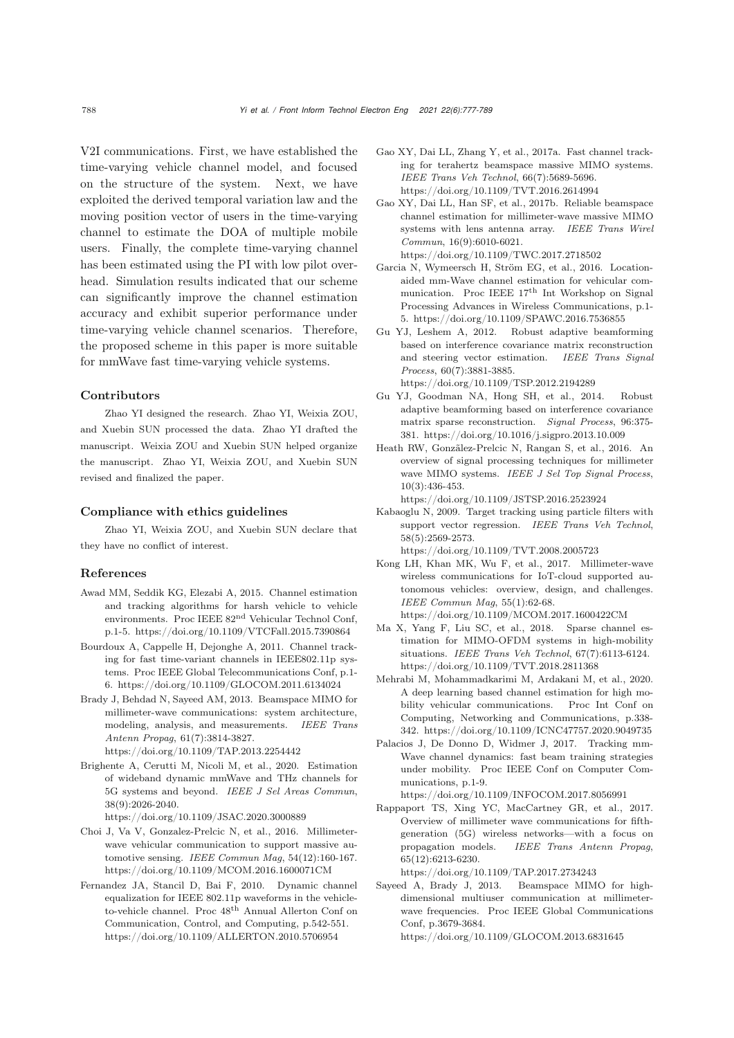V2I communications. First, we have established the time-varying vehicle channel model, and focused on the structure of the system. Next, we have exploited the derived temporal variation law and the moving position vector of users in the time-varying channel to estimate the DOA of multiple mobile users. Finally, the complete time-varying channel has been estimated using the PI with low pilot overhead. Simulation results indicated that our scheme can significantly improve the channel estimation accuracy and exhibit superior performance under time-varying vehicle channel scenarios. Therefore, the proposed scheme in this paper is more suitable for mmWave fast time-varying vehicle systems.

#### Contributors

Zhao YI designed the research. Zhao YI, Weixia ZOU, and Xuebin SUN processed the data. Zhao YI drafted the manuscript. Weixia ZOU and Xuebin SUN helped organize the manuscript. Zhao YI, Weixia ZOU, and Xuebin SUN revised and finalized the paper.

#### Compliance with ethics guidelines

Zhao YI, Weixia ZOU, and Xuebin SUN declare that they have no conflict of interest.

#### References

- <span id="page-11-9"></span>Awad MM, Seddik KG, Elezabi A, 2015. Channel estimation and tracking algorithms for harsh vehicle to vehicle environments. Proc IEEE 82nd Vehicular Technol Conf, p.1-5. https://doi.org/10.1109/VTCFall.2015.7390864
- <span id="page-11-7"></span>Bourdoux A, Cappelle H, Dejonghe A, 2011. Channel tracking for fast time-variant channels in IEEE802.11p systems. Proc IEEE Global Telecommunications Conf, p.1- 6. https://doi.org/10.1109/GLOCOM.2011.6134024
- <span id="page-11-0"></span>Brady J, Behdad N, Sayeed AM, 2013. Beamspace MIMO for millimeter-wave communications: system architecture, modeling, analysis, and measurements. *IEEE Trans Antenn Propag*, 61(7):3814-3827. https://doi.org/10.1109/TAP.2013.2254442
- <span id="page-11-13"></span>Brighente A, Cerutti M, Nicoli M, et al., 2020. Estimation
- of wideband dynamic mmWave and THz channels for 5G systems and beyond. *IEEE J Sel Areas Commun*, 38(9):2026-2040. https://doi.org/10.1109/JSAC.2020.3000889
- <span id="page-11-10"></span>Choi J, Va V, Gonzalez-Prelcic N, et al., 2016. Millimeterwave vehicular communication to support massive automotive sensing. *IEEE Commun Mag*, 54(12):160-167. https://doi.org/10.1109/MCOM.2016.1600071CM
- <span id="page-11-6"></span>Fernandez JA, Stancil D, Bai F, 2010. Dynamic channel equalization for IEEE 802.11p waveforms in the vehicleto-vehicle channel. Proc 48th Annual Allerton Conf on Communication, Control, and Computing, p.542-551. https://doi.org/10.1109/ALLERTON.2010.5706954
- <span id="page-11-11"></span>Gao XY, Dai LL, Zhang Y, et al., 2017a. Fast channel tracking for terahertz beamspace massive MIMO systems. *IEEE Trans Veh Technol*, 66(7):5689-5696. https://doi.org/10.1109/TVT.2016.2614994
- <span id="page-11-17"></span>Gao XY, Dai LL, Han SF, et al., 2017b. Reliable beamspace channel estimation for millimeter-wave massive MIMO systems with lens antenna array. *IEEE Trans Wirel Commun*, 16(9):6010-6021. https://doi.org/10.1109/TWC.2017.2718502
- <span id="page-11-14"></span>Garcia N, Wymeersch H, Ström EG, et al., 2016. Locationaided mm-Wave channel estimation for vehicular communication. Proc IEEE 17th Int Workshop on Signal Processing Advances in Wireless Communications, p.1- 5. https://doi.org/10.1109/SPAWC.2016.7536855
- <span id="page-11-3"></span>Gu YJ, Leshem A, 2012. Robust adaptive beamforming based on interference covariance matrix reconstruction and steering vector estimation. *IEEE Trans Signal Process*, 60(7):3881-3885. https://doi.org/10.1109/TSP.2012.2194289
- <span id="page-11-8"></span>Gu YJ, Goodman NA, Hong SH, et al., 2014. Robust adaptive beamforming based on interference covariance matrix sparse reconstruction. *Signal Process*, 96:375- 381. https://doi.org/10.1016/j.sigpro.2013.10.009
- <span id="page-11-1"></span>Heath RW, Gonzãlez-Prelcic N, Rangan S, et al., 2016. An overview of signal processing techniques for millimeter wave MIMO systems. *IEEE J Sel Top Signal Process*, 10(3):436-453.

https://doi.org/10.1109/JSTSP.2016.2523924

- <span id="page-11-5"></span>Kabaoglu N, 2009. Target tracking using particle filters with support vector regression. *IEEE Trans Veh Technol*, 58(5):2569-2573. https://doi.org/10.1109/TVT.2008.2005723
- <span id="page-11-15"></span>Kong LH, Khan MK, Wu F, et al., 2017. Millimeter-wave wireless communications for IoT-cloud supported au-
- tonomous vehicles: overview, design, and challenges. *IEEE Commun Mag*, 55(1):62-68. https://doi.org/10.1109/MCOM.2017.1600422CM
- <span id="page-11-12"></span>Ma X, Yang F, Liu SC, et al., 2018. Sparse channel estimation for MIMO-OFDM systems in high-mobility situations. *IEEE Trans Veh Technol*, 67(7):6113-6124. https://doi.org/10.1109/TVT.2018.2811368
- <span id="page-11-16"></span>Mehrabi M, Mohammadkarimi M, Ardakani M, et al., 2020. A deep learning based channel estimation for high mobility vehicular communications. Proc Int Conf on Computing, Networking and Communications, p.338- 342. https://doi.org/10.1109/ICNC47757.2020.9049735
- <span id="page-11-18"></span>Palacios J, De Donno D, Widmer J, 2017. Tracking mm-Wave channel dynamics: fast beam training strategies under mobility. Proc IEEE Conf on Computer Communications, p.1-9.

https://doi.org/10.1109/INFOCOM.2017.8056991

<span id="page-11-2"></span>Rappaport TS, Xing YC, MacCartney GR, et al., 2017. Overview of millimeter wave communications for fifthgeneration (5G) wireless networks—with a focus on propagation models. *IEEE Trans Antenn Propag*, 65(12):6213-6230.

https://doi.org/10.1109/TAP.2017.2734243

<span id="page-11-4"></span>Sayeed A, Brady J, 2013. Beamspace MIMO for highdimensional multiuser communication at millimeterwave frequencies. Proc IEEE Global Communications Conf, p.3679-3684. https://doi.org/10.1109/GLOCOM.2013.6831645